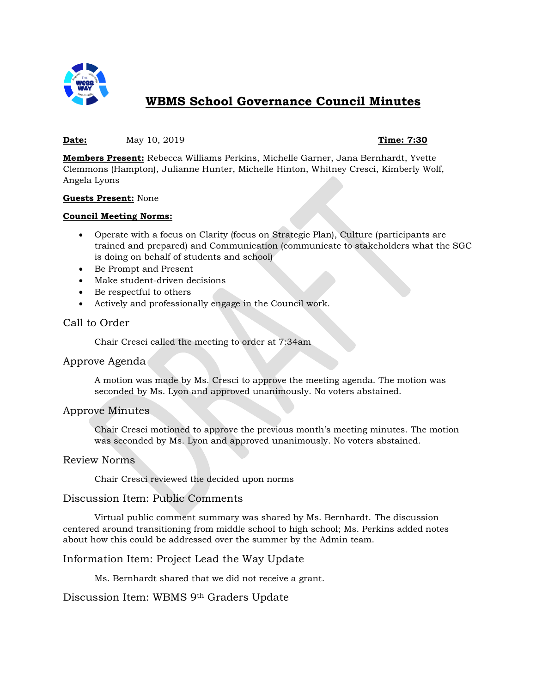

# **WBMS School Governance Council Minutes**

### **Date:** May 10, 2019 **Time: 7:30**

**Members Present:** Rebecca Williams Perkins, Michelle Garner, Jana Bernhardt, Yvette Clemmons (Hampton), Julianne Hunter, Michelle Hinton, Whitney Cresci, Kimberly Wolf, Angela Lyons

#### **Guests Present:** None

#### **Council Meeting Norms:**

- Operate with a focus on Clarity (focus on Strategic Plan), Culture (participants are trained and prepared) and Communication (communicate to stakeholders what the SGC is doing on behalf of students and school)
- Be Prompt and Present
- Make student-driven decisions
- Be respectful to others
- Actively and professionally engage in the Council work.

# Call to Order

Chair Cresci called the meeting to order at 7:34am

### Approve Agenda

A motion was made by Ms. Cresci to approve the meeting agenda. The motion was seconded by Ms. Lyon and approved unanimously. No voters abstained.

### Approve Minutes

Chair Cresci motioned to approve the previous month's meeting minutes. The motion was seconded by Ms. Lyon and approved unanimously. No voters abstained.

### Review Norms

Chair Cresci reviewed the decided upon norms

### Discussion Item: Public Comments

Virtual public comment summary was shared by Ms. Bernhardt. The discussion centered around transitioning from middle school to high school; Ms. Perkins added notes about how this could be addressed over the summer by the Admin team.

## Information Item: Project Lead the Way Update

Ms. Bernhardt shared that we did not receive a grant.

Discussion Item: WBMS 9th Graders Update